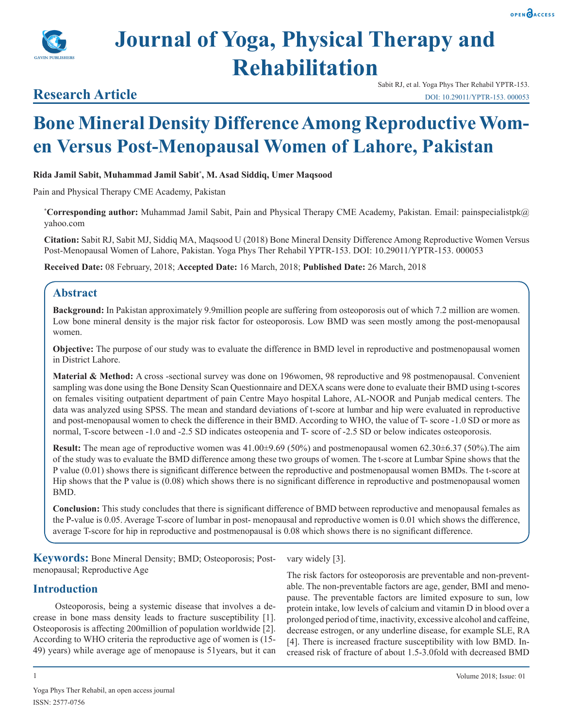

# **Journal of Yoga, Physical Therapy and Rehabilitation**

## **Research Article**

Sabit RJ, et al. Yoga Phys Ther Rehabil YPTR-153. DOI: 10.29011/YPTR-153. 000053

## **Bone Mineral Density Difference Among Reproductive Women Versus Post-Menopausal Women of Lahore, Pakistan**

#### **Rida Jamil Sabit, Muhammad Jamil Sabit\* , M. Asad Siddiq, Umer Maqsood**

Pain and Physical Therapy CME Academy, Pakistan

**\* Corresponding author:** Muhammad Jamil Sabit, Pain and Physical Therapy CME Academy, Pakistan. Email: painspecialistpk@ yahoo.com

**Citation:** Sabit RJ, Sabit MJ, Siddiq MA, Maqsood U (2018) Bone Mineral Density Difference Among Reproductive Women Versus Post-Menopausal Women of Lahore, Pakistan. Yoga Phys Ther Rehabil YPTR-153. DOI: 10.29011/YPTR-153. 000053

**Received Date:** 08 February, 2018; **Accepted Date:** 16 March, 2018; **Published Date:** 26 March, 2018

## **Abstract**

**Background:** In Pakistan approximately 9.9million people are suffering from osteoporosis out of which 7.2 million are women. Low bone mineral density is the major risk factor for osteoporosis. Low BMD was seen mostly among the post-menopausal women.

**Objective:** The purpose of our study was to evaluate the difference in BMD level in reproductive and postmenopausal women in District Lahore.

**Material & Method:** A cross -sectional survey was done on 196women, 98 reproductive and 98 postmenopausal. Convenient sampling was done using the Bone Density Scan Questionnaire and DEXA scans were done to evaluate their BMD using t-scores on females visiting outpatient department of pain Centre Mayo hospital Lahore, AL-NOOR and Punjab medical centers. The data was analyzed using SPSS. The mean and standard deviations of t-score at lumbar and hip were evaluated in reproductive and post-menopausal women to check the difference in their BMD. According to WHO, the value of T- score -1.0 SD or more as normal, T-score between -1.0 and -2.5 SD indicates osteopenia and T- score of -2.5 SD or below indicates osteoporosis.

**Result:** The mean age of reproductive women was 41.00±9.69 (50%) and postmenopausal women 62.30±6.37 (50%).The aim of the study was to evaluate the BMD difference among these two groups of women. The t-score at Lumbar Spine shows that the P value (0.01) shows there is significant difference between the reproductive and postmenopausal women BMDs. The t-score at Hip shows that the P value is (0.08) which shows there is no significant difference in reproductive and postmenopausal women BMD.

**Conclusion:** This study concludes that there is significant difference of BMD between reproductive and menopausal females as the P-value is 0.05. Average T-score of lumbar in post- menopausal and reproductive women is 0.01 which shows the difference, average T-score for hip in reproductive and postmenopausal is 0.08 which shows there is no significant difference.

**Keywords:** Bone Mineral Density; BMD; Osteoporosis; Postmenopausal; Reproductive Age

## **Introduction**

Osteoporosis, being a systemic disease that involves a decrease in bone mass density leads to fracture susceptibility [1]. Osteoporosis is affecting 200million of population worldwide [2]. According to WHO criteria the reproductive age of women is (15- 49) years) while average age of menopause is 51years, but it can

vary widely [3].

The risk factors for osteoporosis are preventable and non-preventable. The non-preventable factors are age, gender, BMI and menopause. The preventable factors are limited exposure to sun, low protein intake, low levels of calcium and vitamin D in blood over a prolonged period of time, inactivity, excessive alcohol and caffeine, decrease estrogen, or any underline disease, for example SLE, RA [4]. There is increased fracture susceptibility with low BMD. Increased risk of fracture of about 1.5-3.0fold with decreased BMD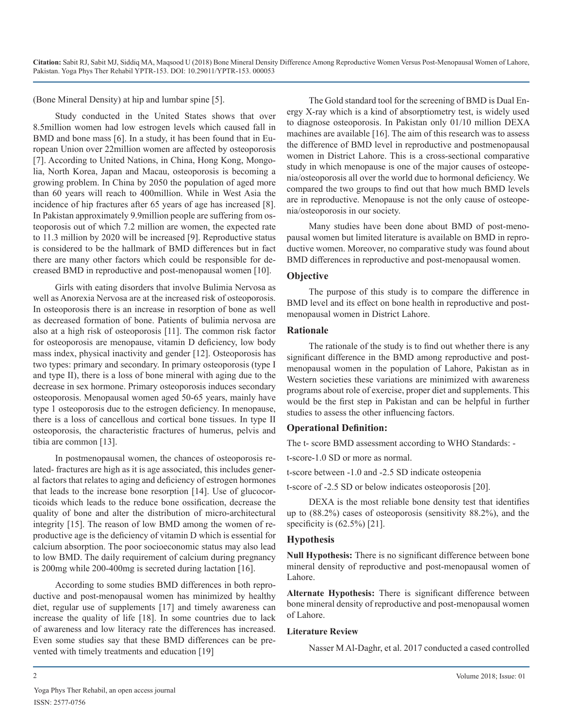(Bone Mineral Density) at hip and lumbar spine [5].

Study conducted in the United States shows that over 8.5million women had low estrogen levels which caused fall in BMD and bone mass [6]. In a study, it has been found that in European Union over 22million women are affected by osteoporosis [7]. According to United Nations, in China, Hong Kong, Mongolia, North Korea, Japan and Macau, osteoporosis is becoming a growing problem. In China by 2050 the population of aged more than 60 years will reach to 400million. While in West Asia the incidence of hip fractures after 65 years of age has increased [8]. In Pakistan approximately 9.9million people are suffering from osteoporosis out of which 7.2 million are women, the expected rate to 11.3 million by 2020 will be increased [9]. Reproductive status is considered to be the hallmark of BMD differences but in fact there are many other factors which could be responsible for decreased BMD in reproductive and post-menopausal women [10].

Girls with eating disorders that involve Bulimia Nervosa as well as Anorexia Nervosa are at the increased risk of osteoporosis. In osteoporosis there is an increase in resorption of bone as well as decreased formation of bone. Patients of bulimia nervosa are also at a high risk of osteoporosis [11]. The common risk factor for osteoporosis are menopause, vitamin D deficiency, low body mass index, physical inactivity and gender [12]. Osteoporosis has two types: primary and secondary. In primary osteoporosis (type I and type II), there is a loss of bone mineral with aging due to the decrease in sex hormone. Primary osteoporosis induces secondary osteoporosis. Menopausal women aged 50-65 years, mainly have type 1 osteoporosis due to the estrogen deficiency. In menopause, there is a loss of cancellous and cortical bone tissues. In type II osteoporosis, the characteristic fractures of humerus, pelvis and tibia are common [13].

In postmenopausal women, the chances of osteoporosis related- fractures are high as it is age associated, this includes general factors that relates to aging and deficiency of estrogen hormones that leads to the increase bone resorption [14]. Use of glucocorticoids which leads to the reduce bone ossification, decrease the quality of bone and alter the distribution of micro-architectural integrity [15]. The reason of low BMD among the women of reproductive age is the deficiency of vitamin D which is essential for calcium absorption. The poor socioeconomic status may also lead to low BMD. The daily requirement of calcium during pregnancy is 200mg while 200-400mg is secreted during lactation [16].

According to some studies BMD differences in both reproductive and post-menopausal women has minimized by healthy diet, regular use of supplements [17] and timely awareness can increase the quality of life [18]. In some countries due to lack of awareness and low literacy rate the differences has increased. Even some studies say that these BMD differences can be prevented with timely treatments and education [19]

The Gold standard tool for the screening of BMD is Dual Energy X-ray which is a kind of absorptiometry test, is widely used to diagnose osteoporosis. In Pakistan only 01/10 million DEXA machines are available [16]. The aim of this research was to assess the difference of BMD level in reproductive and postmenopausal women in District Lahore. This is a cross-sectional comparative study in which menopause is one of the major causes of osteopenia/osteoporosis all over the world due to hormonal deficiency. We compared the two groups to find out that how much BMD levels are in reproductive. Menopause is not the only cause of osteopenia/osteoporosis in our society.

Many studies have been done about BMD of post-menopausal women but limited literature is available on BMD in reproductive women. Moreover, no comparative study was found about BMD differences in reproductive and post-menopausal women.

#### **Objective**

The purpose of this study is to compare the difference in BMD level and its effect on bone health in reproductive and postmenopausal women in District Lahore.

#### **Rationale**

The rationale of the study is to find out whether there is any significant difference in the BMD among reproductive and postmenopausal women in the population of Lahore, Pakistan as in Western societies these variations are minimized with awareness programs about role of exercise, proper diet and supplements. This would be the first step in Pakistan and can be helpful in further studies to assess the other influencing factors.

#### **Operational Definition:**

The t- score BMD assessment according to WHO Standards: -

t-score-1.0 SD or more as normal.

t-score between -1.0 and -2.5 SD indicate osteopenia

t-score of -2.5 SD or below indicates osteoporosis [20].

DEXA is the most reliable bone density test that identifies up to (88.2%) cases of osteoporosis (sensitivity 88.2%), and the specificity is (62.5%) [21].

#### **Hypothesis**

**Null Hypothesis:** There is no significant difference between bone mineral density of reproductive and post-menopausal women of Lahore.

**Alternate Hypothesis:** There is significant difference between bone mineral density of reproductive and post-menopausal women of Lahore.

#### **Literature Review**

Nasser M Al-Daghr, et al. 2017 conducted a cased controlled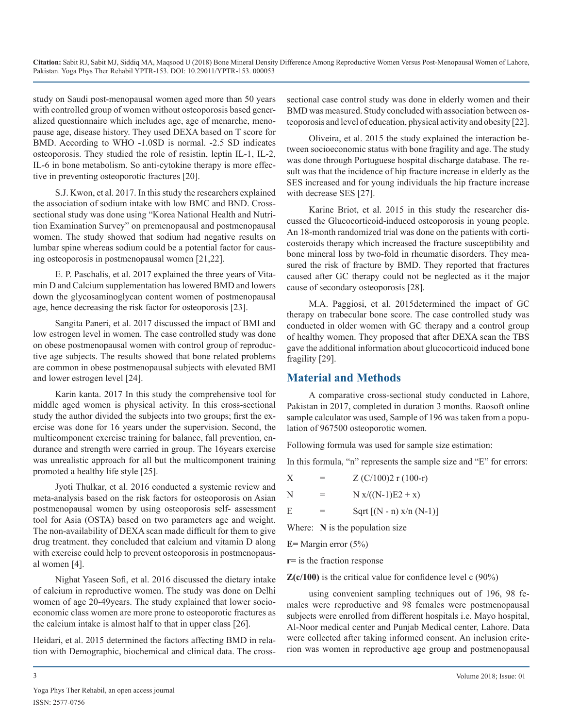study on Saudi post-menopausal women aged more than 50 years with controlled group of women without osteoporosis based generalized questionnaire which includes age, age of menarche, menopause age, disease history. They used DEXA based on T score for BMD. According to WHO -1.0SD is normal. -2.5 SD indicates osteoporosis. They studied the role of resistin, leptin IL-1, IL-2, IL-6 in bone metabolism. So anti-cytokine therapy is more effective in preventing osteoporotic fractures [20].

S.J. Kwon, et al. 2017. In this study the researchers explained the association of sodium intake with low BMC and BND. Crosssectional study was done using "Korea National Health and Nutrition Examination Survey" on premenopausal and postmenopausal women. The study showed that sodium had negative results on lumbar spine whereas sodium could be a potential factor for causing osteoporosis in postmenopausal women [21,22].

E. P. Paschalis, et al. 2017 explained the three years of Vitamin D and Calcium supplementation has lowered BMD and lowers down the glycosaminoglycan content women of postmenopausal age, hence decreasing the risk factor for osteoporosis [23].

Sangita Paneri, et al. 2017 discussed the impact of BMI and low estrogen level in women. The case controlled study was done on obese postmenopausal women with control group of reproductive age subjects. The results showed that bone related problems are common in obese postmenopausal subjects with elevated BMI and lower estrogen level [24].

Karin kanta. 2017 In this study the comprehensive tool for middle aged women is physical activity. In this cross-sectional study the author divided the subjects into two groups; first the exercise was done for 16 years under the supervision. Second, the multicomponent exercise training for balance, fall prevention, endurance and strength were carried in group. The 16years exercise was unrealistic approach for all but the multicomponent training promoted a healthy life style [25].

Jyoti Thulkar, et al. 2016 conducted a systemic review and meta-analysis based on the risk factors for osteoporosis on Asian postmenopausal women by using osteoporosis self- assessment tool for Asia (OSTA) based on two parameters age and weight. The non-availability of DEXA scan made difficult for them to give drug treatment. they concluded that calcium and vitamin D along with exercise could help to prevent osteoporosis in postmenopausal women [4].

Nighat Yaseen Sofi, et al. 2016 discussed the dietary intake of calcium in reproductive women. The study was done on Delhi women of age 20-49years. The study explained that lower socioeconomic class women are more prone to osteoporotic fractures as the calcium intake is almost half to that in upper class [26].

Heidari, et al. 2015 determined the factors affecting BMD in relation with Demographic, biochemical and clinical data. The crosssectional case control study was done in elderly women and their BMD was measured. Study concluded with association between osteoporosis and level of education, physical activity and obesity [22].

Oliveira, et al. 2015 the study explained the interaction between socioeconomic status with bone fragility and age. The study was done through Portuguese hospital discharge database. The result was that the incidence of hip fracture increase in elderly as the SES increased and for young individuals the hip fracture increase with decrease SES [27].

Karine Briot, et al. 2015 in this study the researcher discussed the Glucocorticoid-induced osteoporosis in young people. An 18-month randomized trial was done on the patients with corticosteroids therapy which increased the fracture susceptibility and bone mineral loss by two-fold in rheumatic disorders. They measured the risk of fracture by BMD. They reported that fractures caused after GC therapy could not be neglected as it the major cause of secondary osteoporosis [28].

M.A. Paggiosi, et al. 2015determined the impact of GC therapy on trabecular bone score. The case controlled study was conducted in older women with GC therapy and a control group of healthy women. They proposed that after DEXA scan the TBS gave the additional information about glucocorticoid induced bone fragility [29].

## **Material and Methods**

A comparative cross-sectional study conducted in Lahore, Pakistan in 2017, completed in duration 3 months. Raosoft online sample calculator was used, Sample of 196 was taken from a population of 967500 osteoporotic women.

Following formula was used for sample size estimation:

In this formula, "n" represents the sample size and "E" for errors:

N =  $N x/((N-1)E2 + x)$ 

E = Sqrt  $[(N - n) x/n (N-1)]$ 

Where: **N** is the population size

**E=** Margin error (5%)

**r=** is the fraction response

**Z(c/100)** is the critical value for confidence level c (90%)

using convenient sampling techniques out of 196, 98 females were reproductive and 98 females were postmenopausal subjects were enrolled from different hospitals i.e. Mayo hospital, Al-Noor medical center and Punjab Medical center, Lahore. Data were collected after taking informed consent. An inclusion criterion was women in reproductive age group and postmenopausal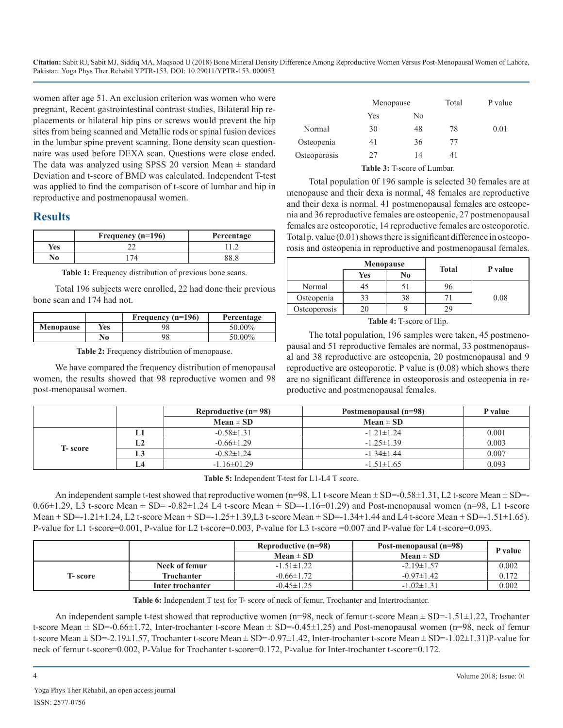women after age 51. An exclusion criterion was women who were pregnant, Recent gastrointestinal contrast studies, Bilateral hip replacements or bilateral hip pins or screws would prevent the hip sites from being scanned and Metallic rods or spinal fusion devices in the lumbar spine prevent scanning. Bone density scan questionnaire was used before DEXA scan. Questions were close ended. The data was analyzed using SPSS 20 version Mean  $\pm$  standard Deviation and t-score of BMD was calculated. Independent T-test was applied to find the comparison of t-score of lumbar and hip in reproductive and postmenopausal women.

## **Results**

|     | Frequency $(n=196)$ | Percentage |
|-----|---------------------|------------|
| Yes |                     |            |
|     |                     |            |

Table 1: Frequency distribution of previous bone scans.

Total 196 subjects were enrolled, 22 had done their previous bone scan and 174 had not.

|                  |     | Frequency $(n=196)$ | Percentage |
|------------------|-----|---------------------|------------|
| <b>Menopause</b> | Yes | 98                  | 50.00%     |
|                  | No  |                     | $50.00\%$  |

**Table 2:** Frequency distribution of menopause.

We have compared the frequency distribution of menopausal women, the results showed that 98 reproductive women and 98 post-menopausal women.

|              | Menopause |    | Total | P value |
|--------------|-----------|----|-------|---------|
|              | Yes       | No |       |         |
| Normal       | 30        | 48 | 78    | 0.01    |
| Osteopenia   | 41        | 36 | 77    |         |
| Osteoporosis | 27        | 14 | 41    |         |
|              |           |    |       |         |

**Table 3:** T-score of Lumbar.

Total population 0f 196 sample is selected 30 females are at menopause and their dexa is normal, 48 females are reproductive and their dexa is normal. 41 postmenopausal females are osteopenia and 36 reproductive females are osteopenic, 27 postmenopausal females are osteoporotic, 14 reproductive females are osteoporotic. Total p. value (0.01) shows there is significant difference in osteoporosis and osteopenia in reproductive and postmenopausal females.

|              | <b>Menopause</b> | <b>Total</b> | P value |      |
|--------------|------------------|--------------|---------|------|
|              | Yes              | No           |         |      |
| Normal       | 45               | 5.           |         |      |
| Osteopenia   | 33               | 38           |         | 0.08 |
| Osteoporosis |                  |              |         |      |

#### **Table 4:** T-score of Hip.

The total population, 196 samples were taken, 45 postmenopausal and 51 reproductive females are normal, 33 postmenopausal and 38 reproductive are osteopenia, 20 postmenopausal and 9 reproductive are osteoporotic. P value is (0.08) which shows there are no significant difference in osteoporosis and osteopenia in reproductive and postmenopausal females.

|                 |    | Reproductive $(n=98)$ | Postmenopausal (n=98) | P value |
|-----------------|----|-----------------------|-----------------------|---------|
|                 |    | $Mean \pm SD$         | $Mean \pm SD$         |         |
| <b>T</b> -score | ы  | $-0.58 \pm 1.31$      | $-1.21 \pm 1.24$      | 0.001   |
|                 | L2 | $-0.66 \pm 1.29$      | $-1.25 \pm 1.39$      | 0.003   |
|                 | L3 | $-0.82 \pm 1.24$      | $-1.34 \pm 1.44$      | 0.007   |
|                 | L4 | $-1.16 \pm 01.29$     | $-1.51 \pm 1.65$      | 0.093   |

**Table 5:** Independent T-test for L1-L4 T score.

An independent sample t-test showed that reproductive women (n=98, L1 t-score Mean  $\pm$  SD=-0.58 $\pm$ 1.31, L2 t-score Mean  $\pm$  SD=- $0.66\pm1.29$ , L3 t-score Mean  $\pm$  SD= -0.82 $\pm$ 1.24 L4 t-score Mean  $\pm$  SD=-1.16 $\pm$ 01.29) and Post-menopausal women (n=98, L1 t-score Mean  $\pm$  SD=-1.21 $\pm$ 1.24, L2 t-score Mean  $\pm$  SD=-1.25 $\pm$ 1.39, L3 t-score Mean  $\pm$  SD=-1.34 $\pm$ 1.44 and L4 t-score Mean  $\pm$  SD=-1.51 $\pm$ 1.65). P-value for L1 t-score=0.001, P-value for L2 t-score=0.003, P-value for L3 t-score =0.007 and P-value for L4 t-score=0.093.

|                 |                  | Reproductive (n=98) | Post-menopausal (n=98) | P value |
|-----------------|------------------|---------------------|------------------------|---------|
|                 |                  | $Mean \pm SD$       | $Mean \pm SD$          |         |
| <b>T</b> -score | Neck of femur    | $-1.51 \pm 1.22$    | $-2.19 \pm 1.57$       | 0.002   |
|                 | Trochanter       | $-0.66 \pm 1.72$    | $-0.97 \pm 1.42$       | 0.172   |
|                 | Inter trochanter | $-0.45 \pm 1.25$    | $-1.02 \pm 1.31$       | 0.002   |

**Table 6:** Independent T test for T- score of neck of femur, Trochanter and Intertrochanter.

An independent sample t-test showed that reproductive women ( $n=98$ , neck of femur t-score Mean  $\pm$  SD=-1.51 $\pm$ 1.22, Trochanter t-score Mean  $\pm$  SD=-0.66 $\pm$ 1.72, Inter-trochanter t-score Mean  $\pm$  SD=-0.45 $\pm$ 1.25) and Post-menopausal women (n=98, neck of femur t-score Mean  $\pm$  SD=-2.19 $\pm$ 1.57, Trochanter t-score Mean  $\pm$  SD=-0.97 $\pm$ 1.42, Inter-trochanter t-score Mean  $\pm$  SD=-1.02 $\pm$ 1.31)P-value for neck of femur t-score=0.002, P-Value for Trochanter t-score=0.172, P-value for Inter-trochanter t-score=0.172.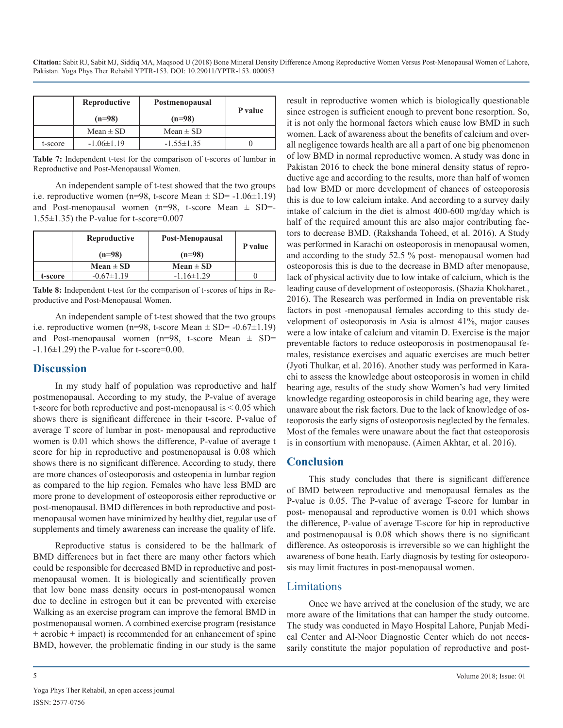|         | Reproductive     | Postmenopausal   | P value |  |
|---------|------------------|------------------|---------|--|
|         | $(n=98)$         | $(n=98)$         |         |  |
|         | $Mean \pm SD$    | $Mean \pm SD$    |         |  |
| t-score | $-1.06 \pm 1.19$ | $-1.55 \pm 1.35$ |         |  |

**Table 7:** Independent t-test for the comparison of t-scores of lumbar in Reproductive and Post-Menopausal Women.

An independent sample of t-test showed that the two groups i.e. reproductive women (n=98, t-score Mean  $\pm$  SD= -1.06 $\pm$ 1.19) and Post-menopausal women ( $n=98$ , t-score Mean  $\pm$  SD=-1.55±1.35) the P-value for t-score=0.007

|         | Reproductive<br>$(n=98)$ | Post-Menopausal<br>$(n=98)$ | P value |
|---------|--------------------------|-----------------------------|---------|
|         | $Mean \pm SD$            | $Mean \pm SD$               |         |
| t-score | $-0.67 \pm 1.19$         | $-1.16 \pm 1.29$            |         |

**Table 8:** Independent t-test for the comparison of t-scores of hips in Reproductive and Post-Menopausal Women.

An independent sample of t-test showed that the two groups i.e. reproductive women (n=98, t-score Mean  $\pm$  SD= -0.67 $\pm$ 1.19) and Post-menopausal women (n=98, t-score Mean  $\pm$  SD=  $-1.16\pm1.29$ ) the P-value for t-score=0.00.

#### **Discussion**

In my study half of population was reproductive and half postmenopausal. According to my study, the P-value of average t-score for both reproductive and post-menopausal is < 0.05 which shows there is significant difference in their t-score. P-value of average T score of lumbar in post- menopausal and reproductive women is 0.01 which shows the difference, P-value of average t score for hip in reproductive and postmenopausal is 0.08 which shows there is no significant difference. According to study, there are more chances of osteoporosis and osteopenia in lumbar region as compared to the hip region. Females who have less BMD are more prone to development of osteoporosis either reproductive or post-menopausal. BMD differences in both reproductive and postmenopausal women have minimized by healthy diet, regular use of supplements and timely awareness can increase the quality of life.

Reproductive status is considered to be the hallmark of BMD differences but in fact there are many other factors which could be responsible for decreased BMD in reproductive and postmenopausal women. It is biologically and scientifically proven that low bone mass density occurs in post-menopausal women due to decline in estrogen but it can be prevented with exercise Walking as an exercise program can improve the femoral BMD in postmenopausal women. A combined exercise program (resistance + aerobic + impact) is recommended for an enhancement of spine BMD, however, the problematic finding in our study is the same

result in reproductive women which is biologically questionable since estrogen is sufficient enough to prevent bone resorption. So, it is not only the hormonal factors which cause low BMD in such women. Lack of awareness about the benefits of calcium and overall negligence towards health are all a part of one big phenomenon of low BMD in normal reproductive women. A study was done in Pakistan 2016 to check the bone mineral density status of reproductive age and according to the results, more than half of women had low BMD or more development of chances of osteoporosis this is due to low calcium intake. And according to a survey daily intake of calcium in the diet is almost 400-600 mg/day which is half of the required amount this are also major contributing factors to decrease BMD. (Rakshanda Toheed, et al. 2016). A Study was performed in Karachi on osteoporosis in menopausal women, and according to the study 52.5 % post- menopausal women had osteoporosis this is due to the decrease in BMD after menopause, lack of physical activity due to low intake of calcium, which is the leading cause of development of osteoporosis. (Shazia Khokharet., 2016). The Research was performed in India on preventable risk factors in post -menopausal females according to this study development of osteoporosis in Asia is almost 41%, major causes were a low intake of calcium and vitamin D. Exercise is the major preventable factors to reduce osteoporosis in postmenopausal females, resistance exercises and aquatic exercises are much better (Jyoti Thulkar, et al. 2016). Another study was performed in Karachi to assess the knowledge about osteoporosis in women in child bearing age, results of the study show Women's had very limited knowledge regarding osteoporosis in child bearing age, they were unaware about the risk factors. Due to the lack of knowledge of osteoporosis the early signs of osteoporosis neglected by the females. Most of the females were unaware about the fact that osteoporosis is in consortium with menopause. (Aimen Akhtar, et al. 2016).

## **Conclusion**

This study concludes that there is significant difference of BMD between reproductive and menopausal females as the P-value is 0.05. The P-value of average T-score for lumbar in post- menopausal and reproductive women is 0.01 which shows the difference, P-value of average T-score for hip in reproductive and postmenopausal is 0.08 which shows there is no significant difference. As osteoporosis is irreversible so we can highlight the awareness of bone heath. Early diagnosis by testing for osteoporosis may limit fractures in post-menopausal women.

## Limitations

Once we have arrived at the conclusion of the study, we are more aware of the limitations that can hamper the study outcome. The study was conducted in Mayo Hospital Lahore, Punjab Medical Center and Al-Noor Diagnostic Center which do not necessarily constitute the major population of reproductive and post-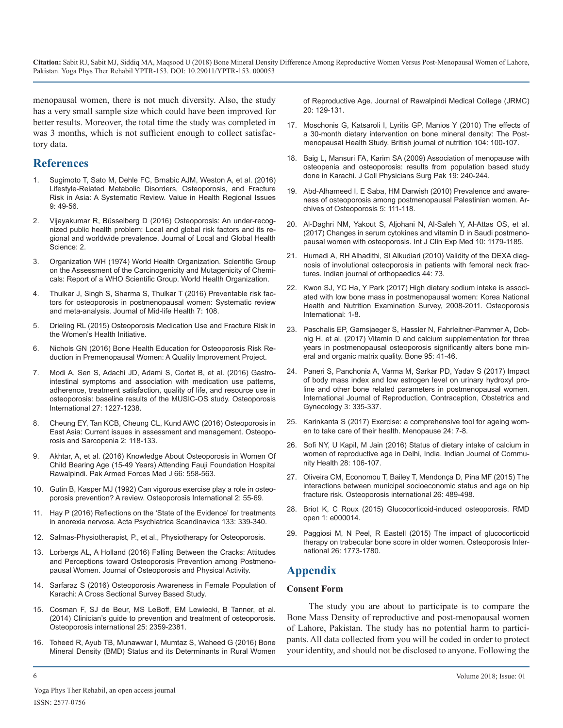menopausal women, there is not much diversity. Also, the study has a very small sample size which could have been improved for better results. Moreover, the total time the study was completed in was 3 months, which is not sufficient enough to collect satisfactory data.

#### **References**

- 1. [Sugimoto T, Sato M, Dehle FC, Brnabic AJM, Weston A, et al. \(2016\)](https://www.sciencedirect.com/science/article/pii/S2212109915000655) Lifestyle-Related Metabolic Disorders, Osteoporosis, and Fracture [Risk in Asia: A Systematic Review. Value in Health Regional Issues](https://www.sciencedirect.com/science/article/pii/S2212109915000655)   $9.49 - 56$
- 2. [Vijayakumar R, Büsselberg D \(2016\) Osteoporosis: An under-recog](http://www.qscience.com/doi/pdf/10.5339/jlghs.2016.2)nized public health problem: Local and global risk factors and its re[gional and worldwide prevalence. Journal of Local and Global Health](http://www.qscience.com/doi/pdf/10.5339/jlghs.2016.2)  [Science: 2](http://www.qscience.com/doi/pdf/10.5339/jlghs.2016.2).
- 3. Organization WH (1974) World Health Organization. Scientific Group on the Assessment of the Carcinogenicity and Mutagenicity of Chemicals: Report of a WHO Scientific Group. World Health Organization.
- 4. [Thulkar J, Singh S, Sharma S, Thulkar T \(2016\) Preventable risk fac](https://www.ncbi.nlm.nih.gov/pubmed/27721637)tors for osteoporosis in postmenopausal women: Systematic review [and meta-analysis. Journal of Mid-life Health 7: 108](https://www.ncbi.nlm.nih.gov/pubmed/27721637).
- 5. [Drieling RL \(2015\) Osteoporosis Medication Use and Fracture Risk in](https://digital.lib.washington.edu/researchworks/handle/1773/33878)  the Women's Health Initiative.
- 6. [Nichols GN \(2016\) Bone Health Education for Osteoporosis Risk Re](http://scholarworks.waldenu.edu/dissertations/2676/)duction in Premenopausal Women: A Quality Improvement Project.
- 7. [Modi A, Sen S, Adachi JD, Adami S, Cortet B, et al. \(2016\) Gastro](https://www.ncbi.nlm.nih.gov/pubmed/26637321)intestinal symptoms and association with medication use patterns, [adherence, treatment satisfaction, quality of life, and resource use in](https://www.ncbi.nlm.nih.gov/pubmed/26637321)  [osteoporosis: baseline results of the MUSIC-OS study. Osteoporosis](https://www.ncbi.nlm.nih.gov/pubmed/26637321)  [International 27: 1227-1238.](https://www.ncbi.nlm.nih.gov/pubmed/26637321)
- 8. [Cheung EY, Tan KCB, Cheung CL, Kund AWC \(2016\) Osteoporosis in](https://www.sciencedirect.com/science/article/pii/S2405525516300310)  East Asia: Current issues in assessment and management. Osteopo[rosis and Sarcopenia 2: 118-133](https://www.sciencedirect.com/science/article/pii/S2405525516300310).
- 9. Akhtar, A, et al. (2016) Knowledge About Osteoporosis in Women Of Child Bearing Age (15-49 Years) Attending Fauji Foundation Hospital Rawalpindi. Pak Armed Forces Med J 66: 558-563.
- 10. [Gutin B, Kasper MJ \(1992\) Can vigorous exercise play a role in osteo](https://www.ncbi.nlm.nih.gov/pubmed/1536981)porosis prevention? A review. Osteoporosis International 2: 55-69.
- 11. [Hay P \(2016\) Reflections on the 'State of the Evidence' for treatments](http://onlinelibrary.wiley.com/doi/10.1111/acps.12582/abstract)  in anorexia nervosa. Acta Psychiatrica Scandinavica 133: 339-340.
- 12. Salmas-Physiotherapist, P., et al., Physiotherapy for Osteoporosis.
- 13. Lorbergs AL, A Holland (2016) Falling Between the Cracks: Attitudes and Perceptions toward Osteoporosis Prevention among Postmenopausal Women. Journal of Osteoporosis and Physical Activity.
- 14. Sarfaraz S (2016) Osteoporosis Awareness in Female Population of Karachi: A Cross Sectional Survey Based Study.
- 15. [Cosman F, SJ de Beur, MS LeBoff, EM Lewiecki, B Tanner, et al.](https://www.ncbi.nlm.nih.gov/pmc/articles/PMC4176573/)  (2014) Clinician's guide to prevention and treatment of osteoporosis. [Osteoporosis international 25: 2359-2381.](https://www.ncbi.nlm.nih.gov/pmc/articles/PMC4176573/)
- 16. [Toheed R, Ayub TB, Munawwar I, Mumtaz S, Waheed G \(2016\) Bone](https://www.journalrmc.com/volumes/14-Bone Marrow Density (BMD) status and its Determinants.pdf)  Mineral Density (BMD) Status and its Determinants in Rural Women

[of Reproductive Age. Journal of Rawalpindi Medical College \(JRMC\)](https://www.journalrmc.com/volumes/14-Bone Marrow Density (BMD) status and its Determinants.pdf) [20: 129-131.](https://www.journalrmc.com/volumes/14-Bone Marrow Density (BMD) status and its Determinants.pdf)

- 17. [Moschonis G, Katsaroli I, Lyritis GP, Manios Y \(2010\) The effects of](https://www.cambridge.org/core/journals/british-journal-of-nutrition/article/the-effects-of-a-30-month-dietary-intervention-on-bone-mineral-density-the-postmenopausal-health-study/6D36A4A810279E42850851D85A461892)  a 30-month dietary intervention on bone mineral density: The Post[menopausal Health Study. British journal of nutrition 104: 100-107.](https://www.cambridge.org/core/journals/british-journal-of-nutrition/article/the-effects-of-a-30-month-dietary-intervention-on-bone-mineral-density-the-postmenopausal-health-study/6D36A4A810279E42850851D85A461892)
- 18. [Baig L, Mansuri FA, Karim SA \(2009\) Association of menopause with](https://www.ncbi.nlm.nih.gov/pubmed/19356340) osteopenia and osteoporosis: results from population based study [done in Karachi. J Coll Physicians Surg Pak 19: 240-244.](https://www.ncbi.nlm.nih.gov/pubmed/19356340)
- 19. [Abd-Alhameed I, E Saba, HM Darwish \(2010\) Prevalence and aware](https://www.researchgate.net/publication/225539752_Prevalence_and_awareness_of_osteoporosis_among_postmenopausal_Palestinian_women)ness of osteoporosis among postmenopausal Palestinian women. Ar[chives of Osteoporosis 5: 111-118.](https://www.researchgate.net/publication/225539752_Prevalence_and_awareness_of_osteoporosis_among_postmenopausal_Palestinian_women)
- 20. [Al-Daghri NM, Yakout S, Aljohani N, Al-Saleh Y, Al-Attas OS, et al.](http://www.ijcem.com/files/ijcem0038056.pdf)  [\(2017\) Changes in serum cytokines and vitamin D in Saudi postmeno](http://www.qscience.com/doi/pdf/10.5339/jlghs.2016.2)[pausal women with osteoporosis. Int J Clin Exp Med 10: 1179-1185.](http://www.ijcem.com/files/ijcem0038056.pdf)
- 21. [Humadi A, RH Alhadithi, SI Alkudiari \(2010\) Validity of the DEXA diag](https://www.ncbi.nlm.nih.gov/pmc/articles/PMC2822423/)nosis of involutional osteoporosis in patients with femoral neck frac[tures. Indian journal of orthopaedics 44: 73.](https://www.ncbi.nlm.nih.gov/pmc/articles/PMC2822423/)
- 22. [Kwon SJ, YC Ha, Y Park \(2017\) High dietary sodium intake is associ](https://www.ncbi.nlm.nih.gov/pubmed/28074252)ated with low bone mass in postmenopausal women: Korea National [Health and Nutrition Examination Survey, 2008-2011. Osteoporosis](https://www.ncbi.nlm.nih.gov/pubmed/28074252) [International: 1-8](https://www.ncbi.nlm.nih.gov/pubmed/28074252).
- 23. [Paschalis EP, Gamsjaeger S, Hassler N, Fahrleitner-Pammer A, Dob](https://www.ncbi.nlm.nih.gov/pubmed/27826025)nig H, et al. (2017) Vitamin D and calcium supplementation for three [years in postmenopausal osteoporosis significantly alters bone min](https://www.ncbi.nlm.nih.gov/pubmed/27826025)[eral and organic matrix quality. Bone 95: 41-46.](http://scholarworks.waldenu.edu/dissertations/2676/)
- 24. [Paneri S, Panchonia A, Varma M, Sarkar PD, Yadav S \(2017\) Impact](http://www.ijrcog.org/index.php/ijrcog/article/view/888)  [of body mass index and low estrogen level on urinary hydroxyl pro](https://www.ncbi.nlm.nih.gov/pubmed/26637321)[line and other bone related parameters in postmenopausal women.](http://www.ijrcog.org/index.php/ijrcog/article/view/888)  [International Journal of Reproduction, Contraception, Obstetrics and](http://www.ijrcog.org/index.php/ijrcog/article/view/888)  [Gynecology 3: 335-337.](http://www.ijrcog.org/index.php/ijrcog/article/view/888)
- 25. [Karinkanta S \(2017\) Exercise: a comprehensive tool for ageing wom](https://journals.lww.com/menopausejournal/Citation/2017/01000/Exercise___a_comprehensive_tool_for_ageing_women.4.aspx)[en to take care of their health. Menopause 24: 7-8.](https://www.sciencedirect.com/science/article/pii/S2405525516300310)
- 26. [Sofi NY, U Kapil, M Jain \(2016\) Status of dietary intake of calcium in](http://www.iapsmupuk.org/journal/index.php/IJCH/article/view/1204)  women of reproductive age in Delhi, India. Indian Journal of Commu[nity Health 28: 106-107.](http://www.iapsmupuk.org/journal/index.php/IJCH/article/view/1204)
- 27. [Oliveira CM, Economou T, Bailey T, Mendonça D, Pina MF \(2015\) The](https://www.ncbi.nlm.nih.gov/pubmed/25344400)  interactions between municipal socioeconomic status and age on hip [fracture risk. Osteoporosis international 26: 489-498](https://www.ncbi.nlm.nih.gov/pubmed/25344400)[.](https://www.ncbi.nlm.nih.gov/pubmed/1536981)
- 28. [Briot K, C Roux \(2015\) Glucocorticoid-induced osteoporosis. RMD](http://rmdopen.bmj.com/content/1/1/e000014?utm_source=TrendMD&utm_medium=cpc&utm_campaign=RMD_Open._TrendMD-0)  [open 1: e000014.](http://onlinelibrary.wiley.com/doi/10.1111/acps.12582/abstract)
- 29. [Paggiosi M, N Peel, R Eastell \(2015\) The impact of glucocorticoid](https://www.ncbi.nlm.nih.gov/pubmed/25743176)  therapy on trabecular bone score in older women. Osteoporosis Inter[national 26: 1773-1780.](https://www.ncbi.nlm.nih.gov/pubmed/25743176)

## **Appendix**

#### **Consent Form**

The study you are about to participate is to compare the [Bone Mass Density of reproductive and post-menopausal women](https://www.ncbi.nlm.nih.gov/pmc/articles/PMC4176573/)  of Lahore, Pakistan. The study has no potential harm to participants. All data collected from you will be coded in order to protect [your identity, and should not be disclosed to anyone. Following the](https://www.journalrmc.com/volumes/14-Bone Marrow Density (BMD) status and its Determinants.pdf)